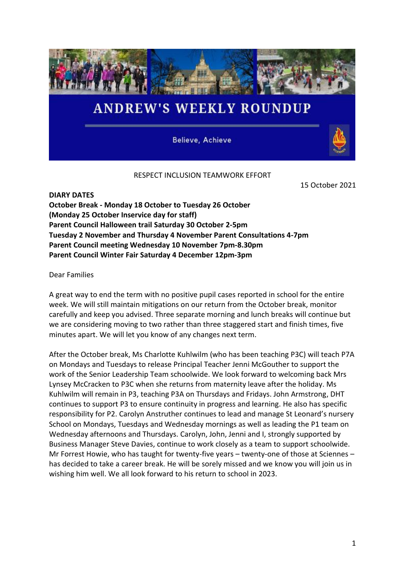

Believe, Achieve

## RESPECT INCLUSION TEAMWORK EFFORT

15 October 2021

**DIARY DATES October Break - Monday 18 October to Tuesday 26 October (Monday 25 October Inservice day for staff) Parent Council Halloween trail Saturday 30 October 2-5pm Tuesday 2 November and Thursday 4 November Parent Consultations 4-7pm Parent Council meeting Wednesday 10 November 7pm-8.30pm Parent Council Winter Fair Saturday 4 December 12pm-3pm**

Dear Families

A great way to end the term with no positive pupil cases reported in school for the entire week. We will still maintain mitigations on our return from the October break, monitor carefully and keep you advised. Three separate morning and lunch breaks will continue but we are considering moving to two rather than three staggered start and finish times, five minutes apart. We will let you know of any changes next term.

After the October break, Ms Charlotte Kuhlwilm (who has been teaching P3C) will teach P7A on Mondays and Tuesdays to release Principal Teacher Jenni McGouther to support the work of the Senior Leadership Team schoolwide. We look forward to welcoming back Mrs Lynsey McCracken to P3C when she returns from maternity leave after the holiday. Ms Kuhlwilm will remain in P3, teaching P3A on Thursdays and Fridays. John Armstrong, DHT continues to support P3 to ensure continuity in progress and learning. He also has specific responsibility for P2. Carolyn Anstruther continues to lead and manage St Leonard's nursery School on Mondays, Tuesdays and Wednesday mornings as well as leading the P1 team on Wednesday afternoons and Thursdays. Carolyn, John, Jenni and I, strongly supported by Business Manager Steve Davies, continue to work closely as a team to support schoolwide. Mr Forrest Howie, who has taught for twenty-five years – twenty-one of those at Sciennes – has decided to take a career break. He will be sorely missed and we know you will join us in wishing him well. We all look forward to his return to school in 2023.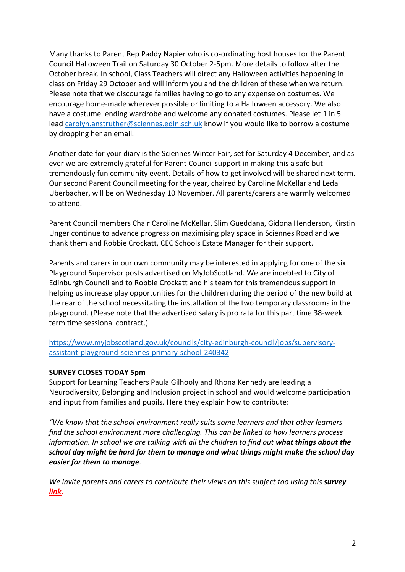Many thanks to Parent Rep Paddy Napier who is co-ordinating host houses for the Parent Council Halloween Trail on Saturday 30 October 2-5pm. More details to follow after the October break. In school, Class Teachers will direct any Halloween activities happening in class on Friday 29 October and will inform you and the children of these when we return. Please note that we discourage families having to go to any expense on costumes. We encourage home-made wherever possible or limiting to a Halloween accessory. We also have a costume lending wardrobe and welcome any donated costumes. Please let 1 in 5 lead [carolyn.anstruther@sciennes.edin.sch.uk](mailto:carolyn.anstruther@sciennes.edin.sch.uk) know if you would like to borrow a costume by dropping her an email.

Another date for your diary is the Sciennes Winter Fair, set for Saturday 4 December, and as ever we are extremely grateful for Parent Council support in making this a safe but tremendously fun community event. Details of how to get involved will be shared next term. Our second Parent Council meeting for the year, chaired by Caroline McKellar and Leda Uberbacher, will be on Wednesday 10 November. All parents/carers are warmly welcomed to attend.

Parent Council members Chair Caroline McKellar, Slim Gueddana, Gidona Henderson, Kirstin Unger continue to advance progress on maximising play space in Sciennes Road and we thank them and Robbie Crockatt, CEC Schools Estate Manager for their support.

Parents and carers in our own community may be interested in applying for one of the six Playground Supervisor posts advertised on MyJobScotland. We are indebted to City of Edinburgh Council and to Robbie Crockatt and his team for this tremendous support in helping us increase play opportunities for the children during the period of the new build at the rear of the school necessitating the installation of the two temporary classrooms in the playground. (Please note that the advertised salary is pro rata for this part time 38-week term time sessional contract.)

[https://www.myjobscotland.gov.uk/councils/city-edinburgh-council/jobs/supervisory](https://www.myjobscotland.gov.uk/councils/city-edinburgh-council/jobs/supervisory-assistant-playground-sciennes-primary-school-240342)[assistant-playground-sciennes-primary-school-240342](https://www.myjobscotland.gov.uk/councils/city-edinburgh-council/jobs/supervisory-assistant-playground-sciennes-primary-school-240342)

## **SURVEY CLOSES TODAY 5pm**

Support for Learning Teachers Paula Gilhooly and Rhona Kennedy are leading a Neurodiversity, Belonging and Inclusion project in school and would welcome participation and input from families and pupils. Here they explain how to contribute:

*"We know that the school environment really suits some learners and that other learners find the school environment more challenging. This can be linked to how learners process information. In school we are talking with all the children to find out what things about the school day might be hard for them to manage and what things might make the school day easier for them to manage.* 

*We invite parents and carers to contribute their views on this subject too using this survey [link.](https://forms.office.com/r/BGWgUj8gEE)*